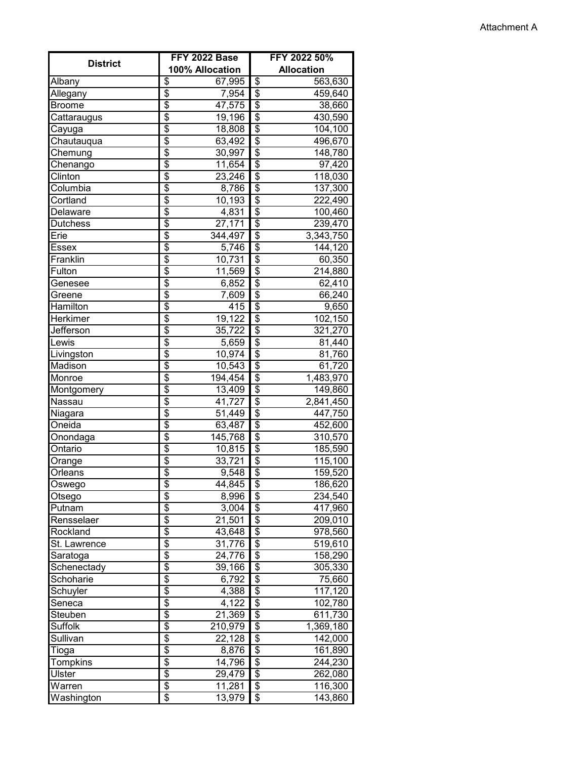| <b>District</b> | FFY 2022 Base                                | FFY 2022 50%                                    |  |
|-----------------|----------------------------------------------|-------------------------------------------------|--|
|                 | 100% Allocation                              | <b>Allocation</b>                               |  |
| <b>Albany</b>   | \$<br>67,995                                 | $\overline{\mathcal{S}}$<br>563,630             |  |
| Allegany        | $\overline{\$}$<br>7,954                     | $\overline{\$}$<br>459,640                      |  |
| <b>Broome</b>   | \$<br>47,575                                 | $\overline{\$}$<br>38,660                       |  |
| Cattaraugus     | $\overline{\$}$<br>19,196                    | $\overline{\$}$<br>430,590                      |  |
| Cayuga          | $\overline{\$}$<br>18,808                    | $\overline{\$}$<br>104,100                      |  |
| Chautauqua      | \$<br>63,492                                 | \$<br>496,670                                   |  |
| Chemung         | \$<br>30,997                                 | $\overline{\boldsymbol{\theta}}$<br>148,780     |  |
| Chenango        | $\overline{\$}$<br>11,654                    | \$<br>97,420                                    |  |
| Clinton         | \$<br>23,246                                 | \$<br>118,030                                   |  |
| Columbia        | $\overline{\$}$<br>8,786                     | $\overline{\$}$<br>137,300                      |  |
| Cortland        | $\overline{\$}$<br>10,193                    | $\overline{\mathcal{S}}$<br>222,490             |  |
| Delaware        | $\overline{\$}$<br>4,831                     | $\overline{\boldsymbol{\mathsf{s}}}$<br>100,460 |  |
| Dutchess        | $\overline{\$}$<br>27,171                    | $\overline{\$}$<br>239,470                      |  |
| Erie            | \$<br>344,497                                | $\overline{\mathcal{S}}$<br>3,343,750           |  |
| <b>Essex</b>    | \$<br>5,746                                  | \$<br>144,120                                   |  |
| Franklin        | \$                                           | $\overline{\mathcal{E}}$                        |  |
|                 | 10,731                                       | 60,350                                          |  |
| Fulton          | $\overline{\$}$<br>11,569<br>$\overline{\$}$ | $\overline{\mathcal{E}}$<br>214,880             |  |
| Genesee         | 6,852                                        | $\overline{\$}$<br>62,410                       |  |
| Greene          | $\overline{\$}$<br>7,609                     | $\overline{\$}$<br>66,240                       |  |
| Hamilton        | $\overline{\$}$<br>415                       | $\overline{\$}$<br>9,650                        |  |
| Herkimer        | \$<br>19,122                                 | $\overline{\boldsymbol{\mathsf{s}}}$<br>102,150 |  |
| Jefferson       | $\overline{\$}$<br>35,722                    | \$<br>321,270                                   |  |
| Lewis           | \$<br>5,659                                  | \$<br>81,440                                    |  |
| Livingston      | \$<br>10,974                                 | \$<br>81,760                                    |  |
| Madison         | \$<br>10,543                                 | \$<br>61,720                                    |  |
| Monroe          | $\overline{\$}$<br>194,454                   | $\boldsymbol{\theta}$<br>1,483,970              |  |
| Montgomery      | \$<br>13,409                                 | $\overline{\mathbf{e}}$<br>149,860              |  |
| Nassau          | $\overline{\$}$<br>41,727                    | $\overline{\mathbf{3}}$<br>2,841,450            |  |
| Niagara         | \$<br>51,449                                 | $\overline{\mathcal{S}}$<br>447,750             |  |
| Oneida          | $\overline{\$}$<br>63,487                    | $\overline{\boldsymbol{\mathsf{s}}}$<br>452,600 |  |
| Onondaga        | \$<br>145,768                                | $\overline{\$}$<br>310,570                      |  |
| Ontario         | $\overline{\$}$<br>10,815                    | $\overline{\$}$<br>185,590                      |  |
| <b>Orange</b>   | $\overline{\$}$<br>33,721                    | $\overline{\$}$<br>115,100                      |  |
| Orleans         | $\overline{\$}$<br>9,548                     | $\overline{\$}$<br>159,520                      |  |
| Oswego          | $\overline{\$}$<br>44,845                    | $\overline{\$}$<br>186,620                      |  |
| Otsego          | \$<br>8,996                                  | \$<br>234,540                                   |  |
| Putnam          | \$<br>3,004                                  | \$<br>417,960                                   |  |
| Rensselaer      | $\overline{\$}$<br>21,501                    | \$<br>209,010                                   |  |
| Rockland        | \$<br>43,648                                 | \$<br>978,560                                   |  |
| St. Lawrence    | \$<br>31,776                                 | \$<br>519,610                                   |  |
| Saratoga        | \$<br>24,776                                 | \$<br>158,290                                   |  |
| Schenectady     | \$<br>39,166                                 | \$<br>305,330                                   |  |
| Schoharie       | $\overline{\$}$<br>6,792                     | \$<br>75,660                                    |  |
| Schuyler        | \$<br>4,388                                  | \$<br>117,120                                   |  |
| Seneca          | $\overline{\$}$<br>4,122                     | $\overline{\boldsymbol{\mathsf{s}}}$<br>102,780 |  |
| Steuben         | $\overline{\$}$<br>21,369                    | $\overline{\mathcal{S}}$<br>611,730             |  |
| Suffolk         | $\overline{\$}$<br>210,979                   | \$<br>1,369,180                                 |  |
| Sullivan        | $\overline{\$}$<br>22,128                    | \$<br>142,000                                   |  |
| Tioga           | $\overline{\$}$<br>8,876                     | \$<br>161,890                                   |  |
| Tompkins        | $\overline{\$}$<br>14,796                    | \$                                              |  |
| Ulster          | $\overline{\$}$                              | 244,230<br>$\overline{\boldsymbol{\mathsf{s}}}$ |  |
|                 | 29,479<br>$\overline{\$}$                    | 262,080<br>\$                                   |  |
| Warren          | 11,281                                       | 116,300                                         |  |
| Washington      | \$<br>13,979                                 | $\sqrt{3}$<br>143,860                           |  |